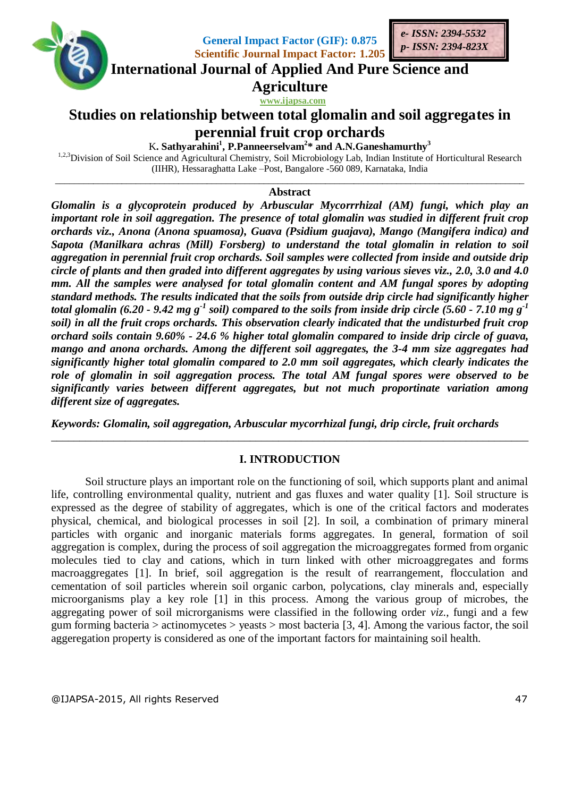

 **www.ijapsa.com** 

# **Studies on relationship between total glomalin and soil aggregates in perennial fruit crop orchards**

K**. Sathyarahini<sup>1</sup> , P.Panneerselvam<sup>2</sup> \* and A.N.Ganeshamurthy<sup>3</sup>**

<sup>1,2,3</sup>Division of Soil Science and Agricultural Chemistry, Soil Microbiology Lab, Indian Institute of Horticultural Research (IIHR), Hessaraghatta Lake –Post, Bangalore -560 089, Karnataka, India

#### \_\_\_\_\_\_\_\_\_\_\_\_\_\_\_\_\_\_\_\_\_\_\_\_\_\_\_\_\_\_\_\_\_\_\_\_\_\_\_\_\_\_\_\_\_\_\_\_\_\_\_\_\_\_\_\_\_\_\_\_\_\_\_\_\_\_\_\_\_\_\_\_\_\_\_\_\_\_\_\_\_\_\_\_\_\_\_\_\_\_\_\_\_\_\_\_\_\_\_ **Abstract**

*Glomalin is a glycoprotein produced by Arbuscular Mycorrrhizal (AM) fungi, which play an important role in soil aggregation. The presence of total glomalin was studied in different fruit crop orchards viz., Anona (Anona spuamosa), Guava (Psidium guajava), Mango (Mangifera indica) and Sapota (Manilkara achras (Mill) Forsberg) to understand the total glomalin in relation to soil aggregation in perennial fruit crop orchards. Soil samples were collected from inside and outside drip circle of plants and then graded into different aggregates by using various sieves viz., 2.0, 3.0 and 4.0 mm. All the samples were analysed for total glomalin content and AM fungal spores by adopting standard methods. The results indicated that the soils from outside drip circle had significantly higher total glomalin (6.20 - 9.42 mg g<sup>-1</sup> soil) compared to the soils from inside drip circle (5.60 - 7.10 mg g<sup>-1</sup> soil) in all the fruit crops orchards. This observation clearly indicated that the undisturbed fruit crop orchard soils contain 9.60% - 24.6 % higher total glomalin compared to inside drip circle of guava, mango and anona orchards. Among the different soil aggregates, the 3-4 mm size aggregates had significantly higher total glomalin compared to 2.0 mm soil aggregates, which clearly indicates the role of glomalin in soil aggregation process. The total AM fungal spores were observed to be significantly varies between different aggregates, but not much proportinate variation among different size of aggregates.* 

*Keywords: Glomalin, soil aggregation, Arbuscular mycorrhizal fungi, drip circle, fruit orchards*

### **I. INTRODUCTION**

\_\_\_\_\_\_\_\_\_\_\_\_\_\_\_\_\_\_\_\_\_\_\_\_\_\_\_\_\_\_\_\_\_\_\_\_\_\_\_\_\_\_\_\_\_\_\_\_\_\_\_\_\_\_\_\_\_\_\_\_\_\_\_\_\_\_\_\_\_\_\_\_\_\_\_\_\_\_\_\_\_\_\_\_

Soil structure plays an important role on the functioning of soil, which supports plant and animal life, controlling environmental quality, nutrient and gas fluxes and water quality [1]. Soil structure is expressed as the degree of stability of aggregates, which is one of the critical factors and moderates physical, chemical, and biological processes in soil [2]. In soil, a combination of primary mineral particles with organic and inorganic materials forms aggregates. In general, formation of soil aggregation is complex, during the process of soil aggregation the microaggregates formed from organic molecules tied to clay and cations, which in turn linked with other microaggregates and forms macroaggregates [1]. In brief, soil aggregation is the result of rearrangement, flocculation and cementation of soil particles wherein soil organic carbon, polycations, clay minerals and, especially microorganisms play a key role [1] in this process. Among the various group of microbes, the aggregating power of soil microrganisms were classified in the following order *viz*., fungi and a few gum forming bacteria  $>$  actinomycetes  $>$  yeasts  $>$  most bacteria [3, 4]. Among the various factor, the soil aggeregation property is considered as one of the important factors for maintaining soil health.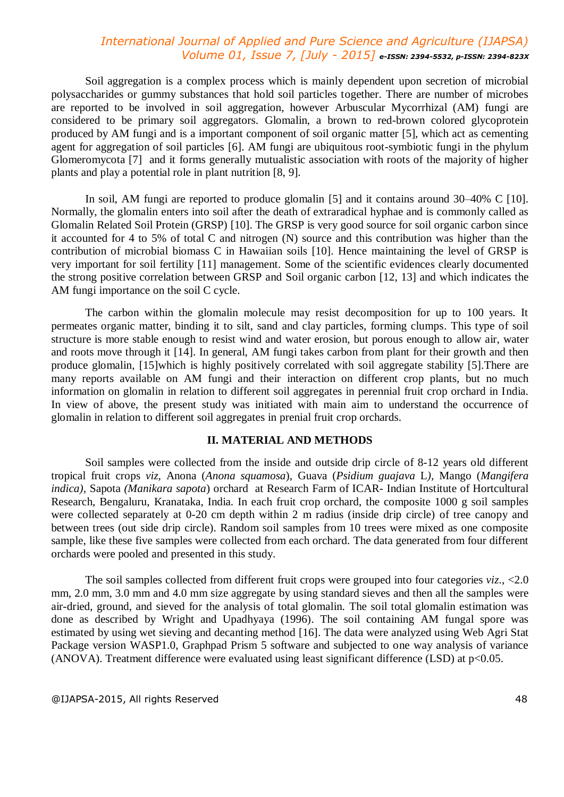Soil aggregation is a complex process which is mainly dependent upon secretion of microbial polysaccharides or gummy substances that hold soil particles together. There are number of microbes are reported to be involved in soil aggregation, however Arbuscular Mycorrhizal (AM) fungi are considered to be primary soil aggregators. Glomalin, a brown to red-brown colored glycoprotein produced by AM fungi and is a important component of soil organic matter [5], which act as cementing agent for aggregation of soil particles [6]. AM fungi are ubiquitous root-symbiotic fungi in the phylum Glomeromycota [7] and it forms generally mutualistic association with roots of the majority of higher plants and play a potential role in plant nutrition [8, 9].

In soil, AM fungi are reported to produce glomalin [5] and it contains around 30–40% C [10]. Normally, the glomalin enters into soil after the death of extraradical hyphae and is commonly called as Glomalin Related Soil Protein (GRSP) [10]. The GRSP is very good source for soil organic carbon since it accounted for 4 to 5% of total C and nitrogen (N) source and this contribution was higher than the contribution of microbial biomass C in Hawaiian soils [10]. Hence maintaining the level of GRSP is very important for soil fertility [11] management. Some of the scientific evidences clearly documented the strong positive correlation between GRSP and Soil organic carbon [12, 13] and which indicates the AM fungi importance on the soil C cycle.

The carbon within the glomalin molecule may resist decomposition for up to 100 years. It permeates organic matter, binding it to silt, sand and clay particles, forming clumps. This type of soil structure is more stable enough to resist wind and water erosion, but porous enough to allow air, water and roots move through it [14]. In general, AM fungi takes carbon from plant for their growth and then produce glomalin, [15]which is highly positively correlated with soil aggregate stability [5].There are many reports available on AM fungi and their interaction on different crop plants, but no much information on glomalin in relation to different soil aggregates in perennial fruit crop orchard in India. In view of above, the present study was initiated with main aim to understand the occurrence of glomalin in relation to different soil aggregates in prenial fruit crop orchards.

#### **II. MATERIAL AND METHODS**

Soil samples were collected from the inside and outside drip circle of 8-12 years old different tropical fruit crops *viz,* Anona (*Anona squamosa*), Guava (*Psidium guajava* L*),* Mango (*Mangifera indica),* Sapota *(Manikara sapota*) orchard at Research Farm of ICAR- Indian Institute of Hortcultural Research, Bengaluru, Kranataka, India. In each fruit crop orchard, the composite 1000 g soil samples were collected separately at 0-20 cm depth within 2 m radius (inside drip circle) of tree canopy and between trees (out side drip circle). Random soil samples from 10 trees were mixed as one composite sample, like these five samples were collected from each orchard. The data generated from four different orchards were pooled and presented in this study.

The soil samples collected from different fruit crops were grouped into four categories *viz*., <2.0 mm, 2.0 mm, 3.0 mm and 4.0 mm size aggregate by using standard sieves and then all the samples were air-dried, ground, and sieved for the analysis of total glomalin. The soil total glomalin estimation was done as described by Wright and Upadhyaya (1996). The soil containing AM fungal spore was estimated by using wet sieving and decanting method [16]. The data were analyzed using Web Agri Stat Package version WASP1.0, Graphpad Prism 5 software and subjected to one way analysis of variance (ANOVA). Treatment difference were evaluated using least significant difference (LSD) at  $p<0.05$ .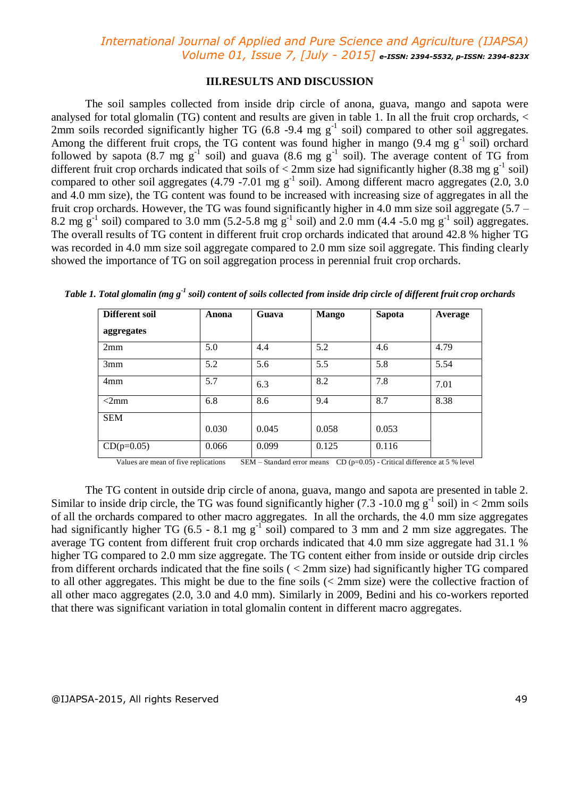### **III.RESULTS AND DISCUSSION**

The soil samples collected from inside drip circle of anona, guava, mango and sapota were analysed for total glomalin (TG) content and results are given in table 1. In all the fruit crop orchards, < 2mm soils recorded significantly higher TG  $(6.8 - 9.4$  mg g<sup>-1</sup> soil) compared to other soil aggregates. Among the different fruit crops, the TG content was found higher in mango  $(9.4 \text{ mg g}^{-1} \text{ soil})$  orchard followed by sapota (8.7 mg  $g^{-1}$  soil) and guava (8.6 mg  $g^{-1}$  soil). The average content of TG from different fruit crop orchards indicated that soils of  $\lt$  2mm size had significantly higher (8.38 mg g<sup>-1</sup> soil) compared to other soil aggregates  $(4.79 - 7.01$  mg g<sup>-1</sup> soil). Among different macro aggregates  $(2.0, 3.0)$ and 4.0 mm size), the TG content was found to be increased with increasing size of aggregates in all the fruit crop orchards. However, the TG was found significantly higher in 4.0 mm size soil aggregate (5.7 – 8.2 mg  $g^{-1}$  soil) compared to 3.0 mm (5.2-5.8 mg  $g^{-1}$  soil) and 2.0 mm (4.4 -5.0 mg  $g^{-1}$  soil) aggregates. The overall results of TG content in different fruit crop orchards indicated that around 42.8 % higher TG was recorded in 4.0 mm size soil aggregate compared to 2.0 mm size soil aggregate. This finding clearly showed the importance of TG on soil aggregation process in perennial fruit crop orchards.

| <b>Different soil</b> | Anona | Guava | <b>Mango</b> | <b>Sapota</b> | Average |
|-----------------------|-------|-------|--------------|---------------|---------|
| aggregates            |       |       |              |               |         |
| 2mm                   | 5.0   | 4.4   | 5.2          | 4.6           | 4.79    |
| 3mm                   | 5.2   | 5.6   | 5.5          | 5.8           | 5.54    |
| 4mm                   | 5.7   | 6.3   | 8.2          | 7.8           | 7.01    |
| $<2$ mm               | 6.8   | 8.6   | 9.4          | 8.7           | 8.38    |
| <b>SEM</b>            |       |       |              |               |         |
|                       | 0.030 | 0.045 | 0.058        | 0.053         |         |
| $CD(p=0.05)$          | 0.066 | 0.099 | 0.125        | 0.116         |         |

*Table 1. Total glomalin (mg g-1 soil) content of soils collected from inside drip circle of different fruit crop orchards*

Values are mean of five replications SEM – Standard error means CD ( $p=0.05$ ) - Critical difference at 5 % level

The TG content in outside drip circle of anona, guava, mango and sapota are presented in table 2. Similar to inside drip circle, the TG was found significantly higher  $(7.3 - 10.0$  mg g<sup>-1</sup> soil) in < 2mm soils of all the orchards compared to other macro aggregates. In all the orchards, the 4.0 mm size aggregates had significantly higher TG (6.5 - 8.1 mg  $g^{-1}$  soil) compared to 3 mm and 2 mm size aggregates. The average TG content from different fruit crop orchards indicated that 4.0 mm size aggregate had 31.1 % higher TG compared to 2.0 mm size aggregate. The TG content either from inside or outside drip circles from different orchards indicated that the fine soils ( < 2mm size) had significantly higher TG compared to all other aggregates. This might be due to the fine soils (< 2mm size) were the collective fraction of all other maco aggregates (2.0, 3.0 and 4.0 mm). Similarly in 2009, Bedini and his co-workers reported that there was significant variation in total glomalin content in different macro aggregates.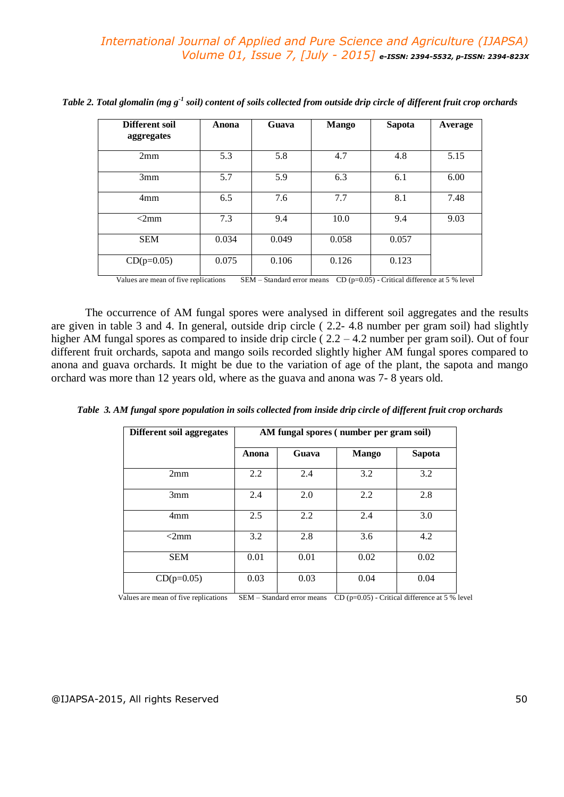| Different soil<br>aggregates | Anona | Guava | <b>Mango</b> | <b>Sapota</b> | Average |
|------------------------------|-------|-------|--------------|---------------|---------|
| 2mm                          | 5.3   | 5.8   | 4.7          | 4.8           | 5.15    |
| 3mm                          | 5.7   | 5.9   | 6.3          | 6.1           | 6.00    |
| 4mm                          | 6.5   | 7.6   | 7.7          | 8.1           | 7.48    |
| $\leq 2 \text{mm}$           | 7.3   | 9.4   | 10.0         | 9.4           | 9.03    |
| <b>SEM</b>                   | 0.034 | 0.049 | 0.058        | 0.057         |         |
| $CD(p=0.05)$                 | 0.075 | 0.106 | 0.126        | 0.123         |         |

*Table 2. Total glomalin (mg g-1 soil) content of soils collected from outside drip circle of different fruit crop orchards*

Values are mean of five replications SEM – Standard error means CD ( $p=0.05$ ) - Critical difference at 5 % level

The occurrence of AM fungal spores were analysed in different soil aggregates and the results are given in table 3 and 4. In general, outside drip circle ( 2.2- 4.8 number per gram soil) had slightly higher AM fungal spores as compared to inside drip circle (2.2 – 4.2 number per gram soil). Out of four different fruit orchards, sapota and mango soils recorded slightly higher AM fungal spores compared to anona and guava orchards. It might be due to the variation of age of the plant, the sapota and mango orchard was more than 12 years old, where as the guava and anona was 7- 8 years old.

| Different soil aggregates | AM fungal spores (number per gram soil) |       |              |               |
|---------------------------|-----------------------------------------|-------|--------------|---------------|
|                           | Anona                                   | Guava | <b>Mango</b> | <b>Sapota</b> |
| 2mm                       | 2.2                                     | 2.4   | 3.2          | 3.2           |
| 3mm                       | 2.4                                     | 2.0   | 2.2          | 2.8           |
| 4mm                       | 2.5                                     | 2.2   | 2.4          | 3.0           |
| $\leq 2 \text{mm}$        | 3.2                                     | 2.8   | 3.6          | 4.2           |
| <b>SEM</b>                | 0.01                                    | 0.01  | 0.02         | 0.02          |
| $CD(p=0.05)$              | 0.03                                    | 0.03  | 0.04         | 0.04          |

*Table 3. AM fungal spore population in soils collected from inside drip circle of different fruit crop orchards*

Values are mean of five replications  $SEM - Standard$  error means  $CD (p=0.05)$  - Critical difference at 5 % level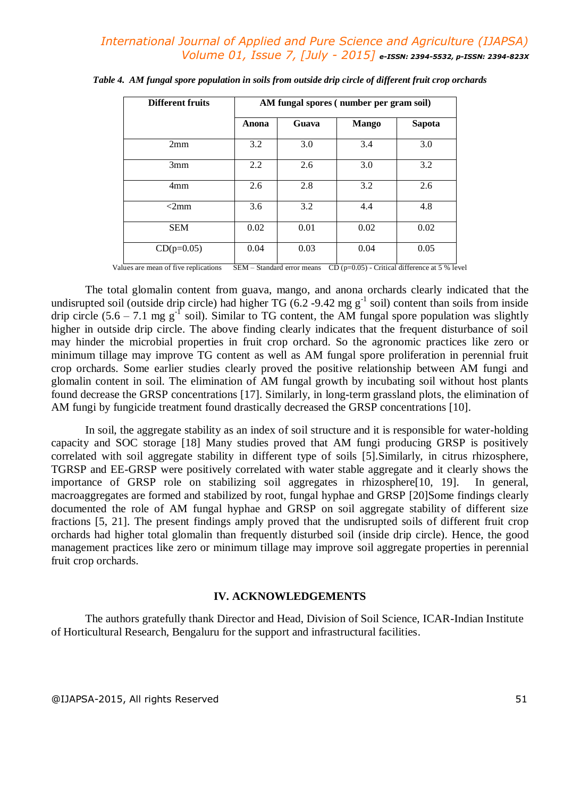| <b>Different fruits</b> | AM fungal spores (number per gram soil) |       |              |               |
|-------------------------|-----------------------------------------|-------|--------------|---------------|
|                         | Anona                                   | Guava | <b>Mango</b> | <b>Sapota</b> |
| 2mm                     | 3.2                                     | 3.0   | 3.4          | 3.0           |
| 3mm                     | 2.2                                     | 2.6   | 3.0          | 3.2           |
| 4mm                     | 2.6                                     | 2.8   | 3.2          | 2.6           |
| $<$ 2mm                 | 3.6                                     | 3.2   | 4.4          | 4.8           |
| <b>SEM</b>              | 0.02                                    | 0.01  | 0.02         | 0.02          |
| $CD(p=0.05)$            | 0.04                                    | 0.03  | 0.04         | 0.05          |

Values are mean of five replications  $SEM - Standard$  error means  $CD (p=0.05)$  - Critical difference at 5 % level

The total glomalin content from guava, mango, and anona orchards clearly indicated that the undisrupted soil (outside drip circle) had higher TG  $(6.2 - 9.42 \text{ mg g}^{-1}$  soil) content than soils from inside drip circle  $(5.6 - 7.1 \text{ mg g}^{-1} \text{ soil})$ . Similar to TG content, the AM fungal spore population was slightly higher in outside drip circle. The above finding clearly indicates that the frequent disturbance of soil may hinder the microbial properties in fruit crop orchard. So the agronomic practices like zero or minimum tillage may improve TG content as well as AM fungal spore proliferation in perennial fruit crop orchards. Some earlier studies clearly proved the positive relationship between AM fungi and glomalin content in soil. The elimination of AM fungal growth by incubating soil without host plants found decrease the GRSP concentrations [17]. Similarly, in long-term grassland plots, the elimination of AM fungi by fungicide treatment found drastically decreased the GRSP concentrations [10].

In soil, the aggregate stability as an index of soil structure and it is responsible for water-holding capacity and SOC storage [18] Many studies proved that AM fungi producing GRSP is positively correlated with soil aggregate stability in different type of soils [5].Similarly, in citrus rhizosphere, TGRSP and EE-GRSP were positively correlated with water stable aggregate and it clearly shows the importance of GRSP role on stabilizing soil aggregates in rhizosphere[10, 19]. In general, macroaggregates are formed and stabilized by root, fungal hyphae and GRSP [20]Some findings clearly documented the role of AM fungal hyphae and GRSP on soil aggregate stability of different size fractions [5, 21]. The present findings amply proved that the undisrupted soils of different fruit crop orchards had higher total glomalin than frequently disturbed soil (inside drip circle). Hence, the good management practices like zero or minimum tillage may improve soil aggregate properties in perennial fruit crop orchards.

## **IV. ACKNOWLEDGEMENTS**

The authors gratefully thank Director and Head, Division of Soil Science, ICAR-Indian Institute of Horticultural Research, Bengaluru for the support and infrastructural facilities.